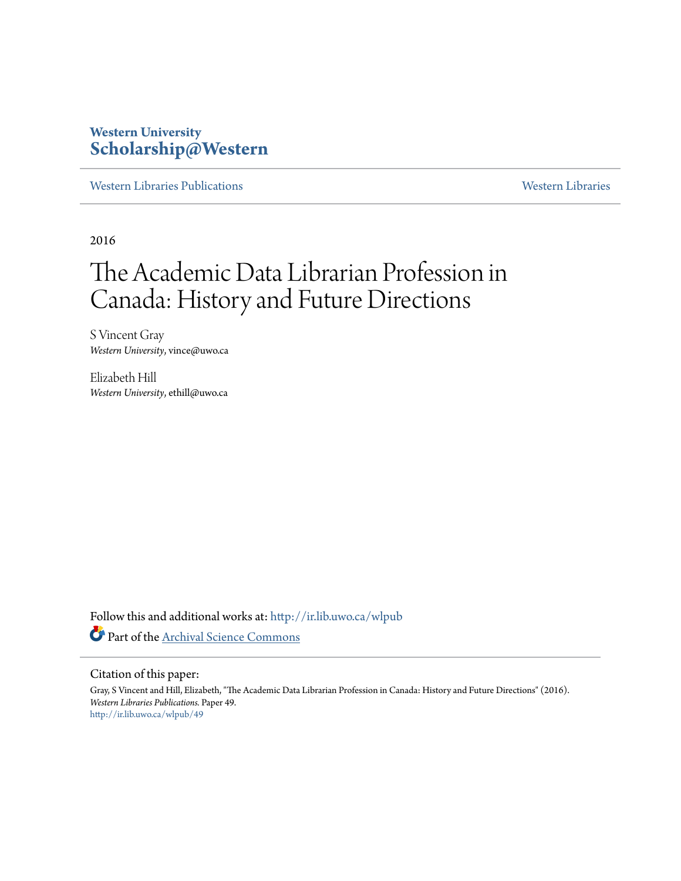#### **Western University [Scholarship@Western](http://ir.lib.uwo.ca?utm_source=ir.lib.uwo.ca%2Fwlpub%2F49&utm_medium=PDF&utm_campaign=PDFCoverPages)**

[Western Libraries Publications](http://ir.lib.uwo.ca/wlpub?utm_source=ir.lib.uwo.ca%2Fwlpub%2F49&utm_medium=PDF&utm_campaign=PDFCoverPages) [Western Libraries](http://ir.lib.uwo.ca/wl?utm_source=ir.lib.uwo.ca%2Fwlpub%2F49&utm_medium=PDF&utm_campaign=PDFCoverPages)

2016

# The Academic Data Librarian Profession in Canada: History and Future Directions

S Vincent Gray *Western University*, vince@uwo.ca

Elizabeth Hill *Western University*, ethill@uwo.ca

Follow this and additional works at: [http://ir.lib.uwo.ca/wlpub](http://ir.lib.uwo.ca/wlpub?utm_source=ir.lib.uwo.ca%2Fwlpub%2F49&utm_medium=PDF&utm_campaign=PDFCoverPages) Part of the [Archival Science Commons](http://network.bepress.com/hgg/discipline/1021?utm_source=ir.lib.uwo.ca%2Fwlpub%2F49&utm_medium=PDF&utm_campaign=PDFCoverPages)

#### Citation of this paper:

Gray, S Vincent and Hill, Elizabeth, "The Academic Data Librarian Profession in Canada: History and Future Directions" (2016). *Western Libraries Publications.* Paper 49. [http://ir.lib.uwo.ca/wlpub/49](http://ir.lib.uwo.ca/wlpub/49?utm_source=ir.lib.uwo.ca%2Fwlpub%2F49&utm_medium=PDF&utm_campaign=PDFCoverPages)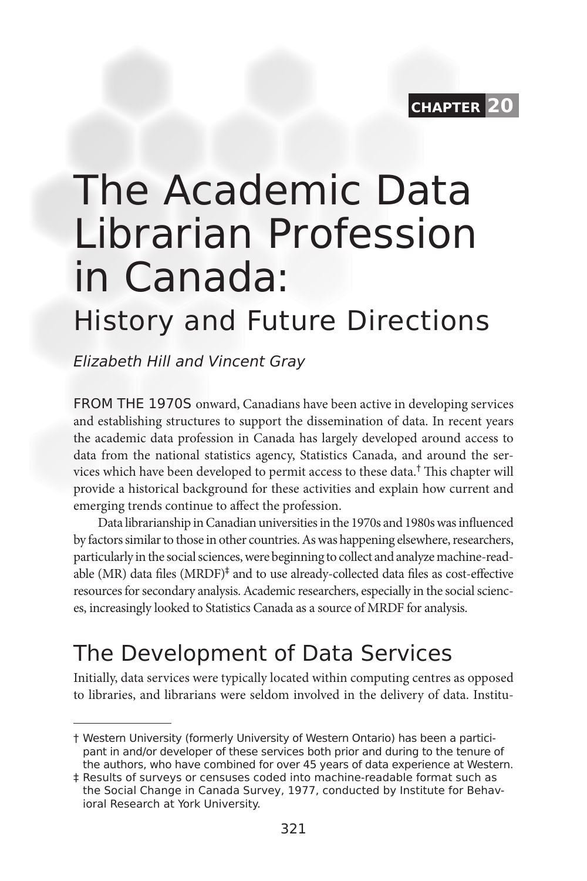

# The Academic Data Librarian Profession in Canada:

## History and Future Directions

Elizabeth Hill and Vincent Gray

FROM THE 1970S onward, Canadians have been active in developing services and establishing structures to support the dissemination of data. In recent years the academic data profession in Canada has largely developed around access to data from the national statistics agency, Statistics Canada, and around the services which have been developed to permit access to these data.† This chapter will provide a historical background for these activities and explain how current and emerging trends continue to affect the profession.

Data librarianship in Canadian universities in the 1970s and 1980s was influenced by factors similar to those in other countries. As was happening elsewhere, researchers, particularly in the social sciences, were beginning to collect and analyze machine-readable (MR) data files (MRDF)<sup>‡</sup> and to use already-collected data files as cost-effective resources for secondary analysis. Academic researchers, especially in the social sciences, increasingly looked to Statistics Canada as a source of MRDF for analysis.

#### The Development of Data Services

Initially, data services were typically located within computing centres as opposed to libraries, and librarians were seldom involved in the delivery of data. Institu-

<sup>†</sup> Western University (formerly University of Western Ontario) has been a participant in and/or developer of these services both prior and during to the tenure of the authors, who have combined for over 45 years of data experience at Western.

<sup>‡</sup> Results of surveys or censuses coded into machine-readable format such as the Social Change in Canada Survey, 1977, conducted by Institute for Behavioral Research at York University.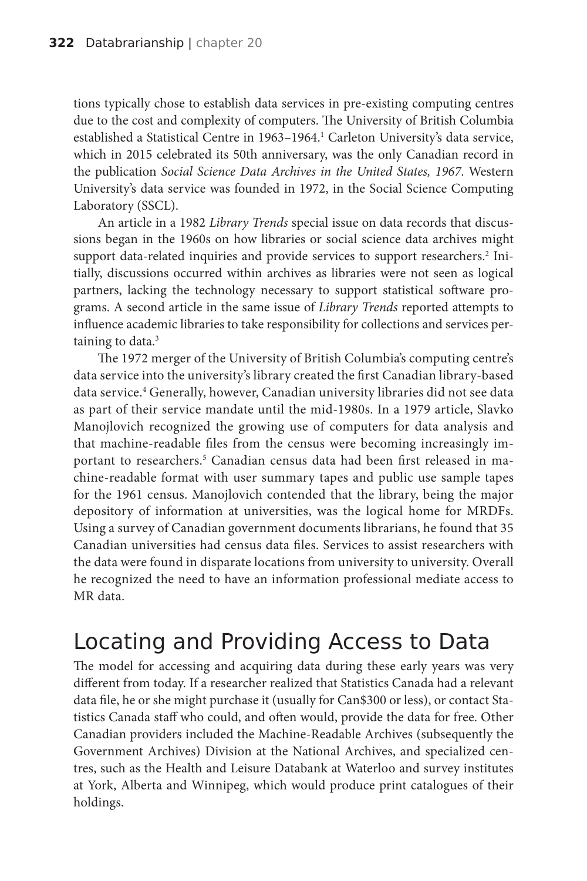tions typically chose to establish data services in pre-existing computing centres due to the cost and complexity of computers. The University of British Columbia established a Statistical Centre in 1963–1964.<sup>1</sup> Carleton University's data service, which in 2015 celebrated its 50th anniversary, was the only Canadian record in the publication *Social Science Data Archives in the United States, 1967*. Western University's data service was founded in 1972, in the Social Science Computing Laboratory (SSCL).

An article in a 1982 *Library Trends* special issue on data records that discussions began in the 1960s on how libraries or social science data archives might support data-related inquiries and provide services to support researchers.<sup>2</sup> Initially, discussions occurred within archives as libraries were not seen as logical partners, lacking the technology necessary to support statistical software programs. A second article in the same issue of *Library Trends* reported attempts to influence academic libraries to take responsibility for collections and services pertaining to data.<sup>3</sup>

The 1972 merger of the University of British Columbia's computing centre's data service into the university's library created the first Canadian library-based data service.4 Generally, however, Canadian university libraries did not see data as part of their service mandate until the mid-1980s. In a 1979 article, Slavko Manojlovich recognized the growing use of computers for data analysis and that machine-readable files from the census were becoming increasingly important to researchers.5 Canadian census data had been first released in machine-readable format with user summary tapes and public use sample tapes for the 1961 census. Manojlovich contended that the library, being the major depository of information at universities, was the logical home for MRDFs. Using a survey of Canadian government documents librarians, he found that 35 Canadian universities had census data files. Services to assist researchers with the data were found in disparate locations from university to university. Overall he recognized the need to have an information professional mediate access to MR data.

#### Locating and Providing Access to Data

The model for accessing and acquiring data during these early years was very different from today. If a researcher realized that Statistics Canada had a relevant data file, he or she might purchase it (usually for Can\$300 or less), or contact Statistics Canada staff who could, and often would, provide the data for free. Other Canadian providers included the Machine-Readable Archives (subsequently the Government Archives) Division at the National Archives, and specialized centres, such as the Health and Leisure Databank at Waterloo and survey institutes at York, Alberta and Winnipeg, which would produce print catalogues of their holdings.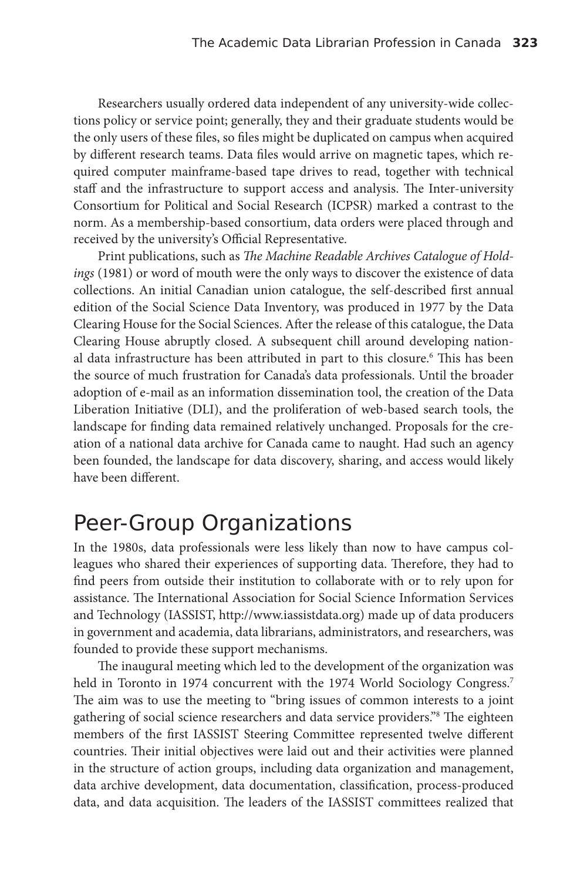Researchers usually ordered data independent of any university-wide collections policy or service point; generally, they and their graduate students would be the only users of these files, so files might be duplicated on campus when acquired by different research teams. Data files would arrive on magnetic tapes, which required computer mainframe-based tape drives to read, together with technical staff and the infrastructure to support access and analysis. The Inter-university Consortium for Political and Social Research (ICPSR) marked a contrast to the norm. As a membership-based consortium, data orders were placed through and received by the university's Official Representative.

Print publications, such as *The Machine Readable Archives Catalogue of Holdings* (1981) or word of mouth were the only ways to discover the existence of data collections. An initial Canadian union catalogue, the self-described first annual edition of the Social Science Data Inventory, was produced in 1977 by the Data Clearing House for the Social Sciences. After the release of this catalogue, the Data Clearing House abruptly closed. A subsequent chill around developing national data infrastructure has been attributed in part to this closure.6 This has been the source of much frustration for Canada's data professionals. Until the broader adoption of e-mail as an information dissemination tool, the creation of the Data Liberation Initiative (DLI), and the proliferation of web-based search tools, the landscape for finding data remained relatively unchanged. Proposals for the creation of a national data archive for Canada came to naught. Had such an agency been founded, the landscape for data discovery, sharing, and access would likely have been different.

#### Peer-Group Organizations

In the 1980s, data professionals were less likely than now to have campus colleagues who shared their experiences of supporting data. Therefore, they had to find peers from outside their institution to collaborate with or to rely upon for assistance. The International Association for Social Science Information Services and Technology (IASSIST, http://www.iassistdata.org) made up of data producers in government and academia, data librarians, administrators, and researchers, was founded to provide these support mechanisms.

The inaugural meeting which led to the development of the organization was held in Toronto in 1974 concurrent with the 1974 World Sociology Congress.<sup>7</sup> The aim was to use the meeting to "bring issues of common interests to a joint gathering of social science researchers and data service providers."8 The eighteen members of the first IASSIST Steering Committee represented twelve different countries. Their initial objectives were laid out and their activities were planned in the structure of action groups, including data organization and management, data archive development, data documentation, classification, process-produced data, and data acquisition. The leaders of the IASSIST committees realized that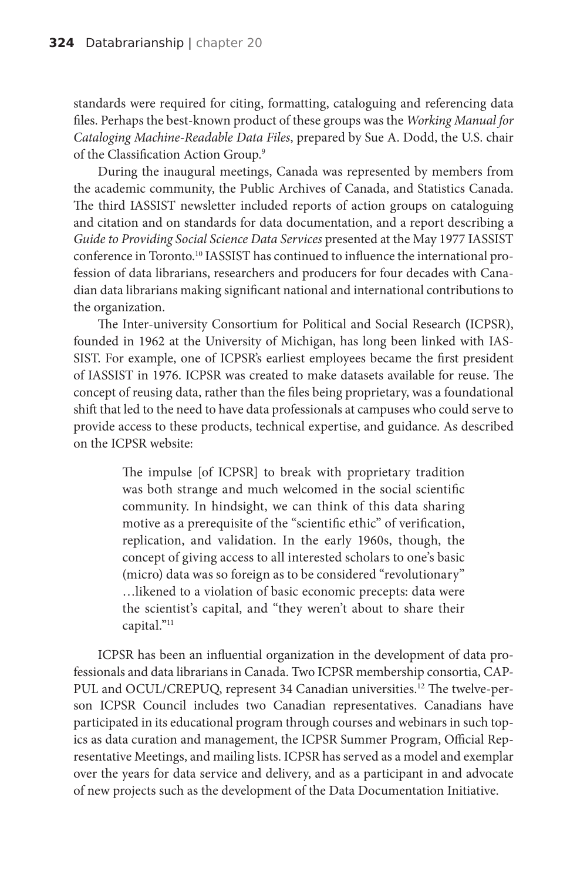standards were required for citing, formatting, cataloguing and referencing data files. Perhaps the best-known product of these groups was the *Working Manual for Cataloging Machine-Readable Data Files*, prepared by Sue A. Dodd, the U.S. chair of the Classification Action Group.9

During the inaugural meetings, Canada was represented by members from the academic community, the Public Archives of Canada, and Statistics Canada. The third IASSIST newsletter included reports of action groups on cataloguing and citation and on standards for data documentation, and a report describing a *Guide to Providing Social Science Data Services* presented at the May 1977 IASSIST conference in Toronto.10 IASSIST has continued to influence the international profession of data librarians, researchers and producers for four decades with Canadian data librarians making significant national and international contributions to the organization.

The Inter-university Consortium for Political and Social Research **(**ICPSR), founded in 1962 at the University of Michigan, has long been linked with IAS-SIST. For example, one of ICPSR's earliest employees became the first president of IASSIST in 1976. ICPSR was created to make datasets available for reuse. The concept of reusing data, rather than the files being proprietary, was a foundational shift that led to the need to have data professionals at campuses who could serve to provide access to these products, technical expertise, and guidance. As described on the ICPSR website:

> The impulse [of ICPSR] to break with proprietary tradition was both strange and much welcomed in the social scientific community. In hindsight, we can think of this data sharing motive as a prerequisite of the "scientific ethic" of verification, replication, and validation. In the early 1960s, though, the concept of giving access to all interested scholars to one's basic (micro) data was so foreign as to be considered "revolutionary" …likened to a violation of basic economic precepts: data were the scientist's capital, and "they weren't about to share their capital."11

ICPSR has been an influential organization in the development of data professionals and data librarians in Canada. Two ICPSR membership consortia, CAP-PUL and OCUL/CREPUQ, represent 34 Canadian universities.12 The twelve-person ICPSR Council includes two Canadian representatives. Canadians have participated in its educational program through courses and webinars in such topics as data curation and management, the ICPSR Summer Program, Official Representative Meetings, and mailing lists. ICPSR has served as a model and exemplar over the years for data service and delivery, and as a participant in and advocate of new projects such as the development of the Data Documentation Initiative.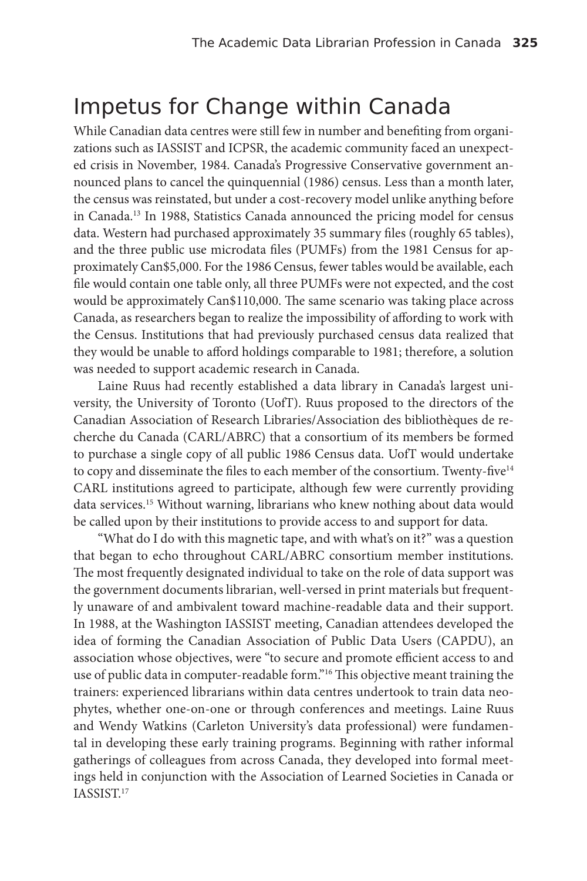#### Impetus for Change within Canada

While Canadian data centres were still few in number and benefiting from organizations such as IASSIST and ICPSR, the academic community faced an unexpected crisis in November, 1984. Canada's Progressive Conservative government announced plans to cancel the quinquennial (1986) census. Less than a month later, the census was reinstated, but under a cost-recovery model unlike anything before in Canada.13 In 1988, Statistics Canada announced the pricing model for census data. Western had purchased approximately 35 summary files (roughly 65 tables), and the three public use microdata files (PUMFs) from the 1981 Census for approximately Can\$5,000. For the 1986 Census, fewer tables would be available, each file would contain one table only, all three PUMFs were not expected, and the cost would be approximately Can\$110,000. The same scenario was taking place across Canada, as researchers began to realize the impossibility of affording to work with the Census. Institutions that had previously purchased census data realized that they would be unable to afford holdings comparable to 1981; therefore, a solution was needed to support academic research in Canada.

Laine Ruus had recently established a data library in Canada's largest university, the University of Toronto (UofT). Ruus proposed to the directors of the Canadian Association of Research Libraries/Association des bibliothèques de recherche du Canada (CARL/ABRC) that a consortium of its members be formed to purchase a single copy of all public 1986 Census data. UofT would undertake to copy and disseminate the files to each member of the consortium. Twenty-five<sup>14</sup> CARL institutions agreed to participate, although few were currently providing data services.15 Without warning, librarians who knew nothing about data would be called upon by their institutions to provide access to and support for data.

"What do I do with this magnetic tape, and with what's on it?" was a question that began to echo throughout CARL/ABRC consortium member institutions. The most frequently designated individual to take on the role of data support was the government documents librarian, well-versed in print materials but frequently unaware of and ambivalent toward machine-readable data and their support. In 1988, at the Washington IASSIST meeting, Canadian attendees developed the idea of forming the Canadian Association of Public Data Users (CAPDU), an association whose objectives, were "to secure and promote efficient access to and use of public data in computer-readable form."16 This objective meant training the trainers: experienced librarians within data centres undertook to train data neophytes, whether one-on-one or through conferences and meetings. Laine Ruus and Wendy Watkins (Carleton University's data professional) were fundamental in developing these early training programs. Beginning with rather informal gatherings of colleagues from across Canada, they developed into formal meetings held in conjunction with the Association of Learned Societies in Canada or IASSIST.17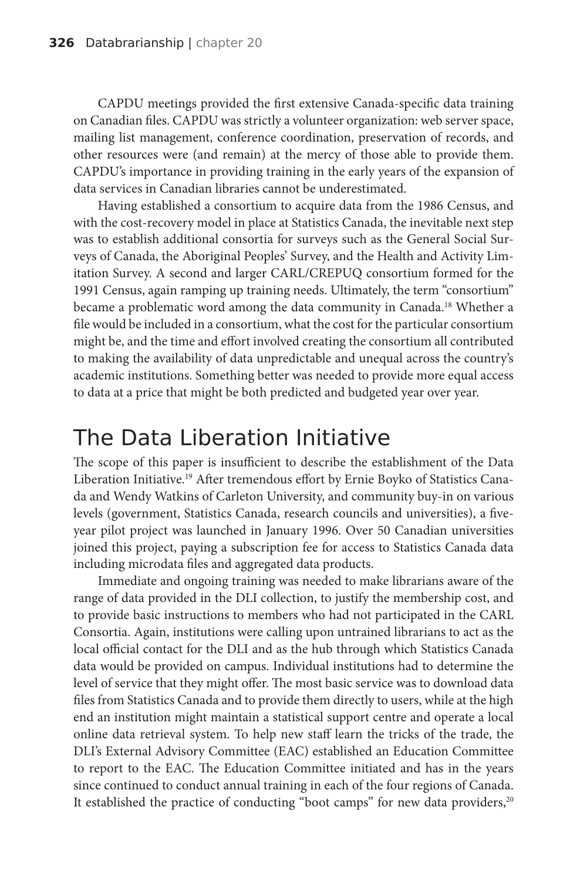CAPDU meetings provided the first extensive Canada-specific data training on Canadian files. CAPDU was strictly a volunteer organization: web server space, mailing list management, conference coordination, preservation of records, and other resources were (and remain) at the mercy of those able to provide them. CAPDU's importance in providing training in the early years of the expansion of data services in Canadian libraries cannot be underestimated.

Having established a consortium to acquire data from the 1986 Census, and with the cost-recovery model in place at Statistics Canada, the inevitable next step was to establish additional consortia for surveys such as the General Social Surveys of Canada, the Aboriginal Peoples' Survey, and the Health and Activity Limitation Survey. A second and larger CARL/CREPUQ consortium formed for the 1991 Census, again ramping up training needs. Ultimately, the term "consortium" became a problematic word among the data community in Canada.<sup>18</sup> Whether a file would be included in a consortium, what the cost for the particular consortium might be, and the time and effort involved creating the consortium all contributed to making the availability of data unpredictable and unequal across the country's academic institutions. Something better was needed to provide more equal access to data at a price that might be both predicted and budgeted year over year.

#### The Data Liberation Initiative

The scope of this paper is insufficient to describe the establishment of the Data Liberation Initiative.19 After tremendous effort by Ernie Boyko of Statistics Canada and Wendy Watkins of Carleton University, and community buy-in on various levels (government, Statistics Canada, research councils and universities), a fiveyear pilot project was launched in January 1996. Over 50 Canadian universities joined this project, paying a subscription fee for access to Statistics Canada data including microdata files and aggregated data products.

Immediate and ongoing training was needed to make librarians aware of the range of data provided in the DLI collection, to justify the membership cost, and to provide basic instructions to members who had not participated in the CARL Consortia. Again, institutions were calling upon untrained librarians to act as the local official contact for the DLI and as the hub through which Statistics Canada data would be provided on campus. Individual institutions had to determine the level of service that they might offer. The most basic service was to download data files from Statistics Canada and to provide them directly to users, while at the high end an institution might maintain a statistical support centre and operate a local online data retrieval system. To help new staff learn the tricks of the trade, the DLI's External Advisory Committee (EAC) established an Education Committee to report to the EAC. The Education Committee initiated and has in the years since continued to conduct annual training in each of the four regions of Canada. It established the practice of conducting "boot camps" for new data providers,<sup>20</sup>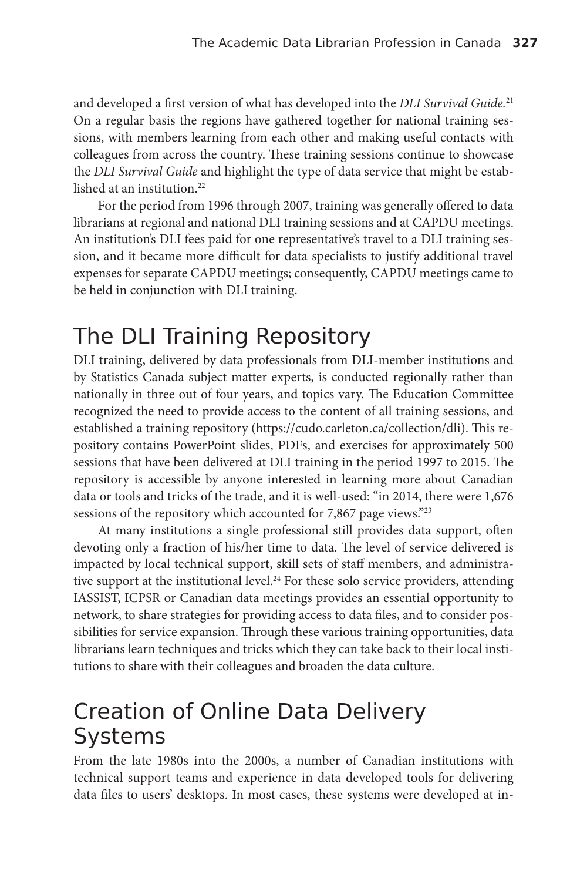and developed a first version of what has developed into the *DLI Survival Guide.*<sup>21</sup> On a regular basis the regions have gathered together for national training sessions, with members learning from each other and making useful contacts with colleagues from across the country. These training sessions continue to showcase the *DLI Survival Guide* and highlight the type of data service that might be established at an institution.<sup>22</sup>

For the period from 1996 through 2007, training was generally offered to data librarians at regional and national DLI training sessions and at CAPDU meetings. An institution's DLI fees paid for one representative's travel to a DLI training session, and it became more difficult for data specialists to justify additional travel expenses for separate CAPDU meetings; consequently, CAPDU meetings came to be held in conjunction with DLI training.

### The DLI Training Repository

DLI training, delivered by data professionals from DLI-member institutions and by Statistics Canada subject matter experts, is conducted regionally rather than nationally in three out of four years, and topics vary. The Education Committee recognized the need to provide access to the content of all training sessions, and established a training repository (https://cudo.carleton.ca/collection/dli). This repository contains PowerPoint slides, PDFs, and exercises for approximately 500 sessions that have been delivered at DLI training in the period 1997 to 2015. The repository is accessible by anyone interested in learning more about Canadian data or tools and tricks of the trade, and it is well-used: "in 2014, there were 1,676 sessions of the repository which accounted for 7,867 page views."<sup>23</sup>

At many institutions a single professional still provides data support, often devoting only a fraction of his/her time to data. The level of service delivered is impacted by local technical support, skill sets of staff members, and administrative support at the institutional level.<sup>24</sup> For these solo service providers, attending IASSIST, ICPSR or Canadian data meetings provides an essential opportunity to network, to share strategies for providing access to data files, and to consider possibilities for service expansion. Through these various training opportunities, data librarians learn techniques and tricks which they can take back to their local institutions to share with their colleagues and broaden the data culture.

#### Creation of Online Data Delivery Systems

From the late 1980s into the 2000s, a number of Canadian institutions with technical support teams and experience in data developed tools for delivering data files to users' desktops. In most cases, these systems were developed at in-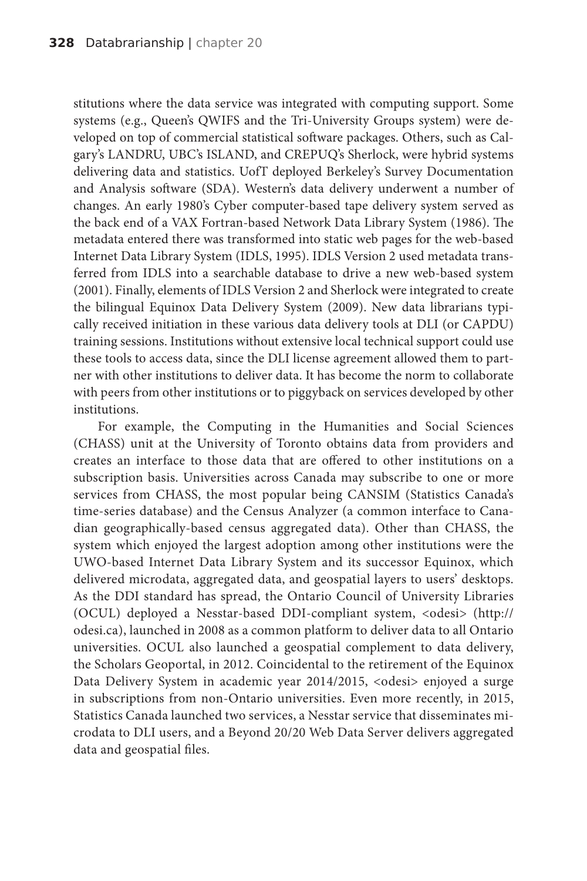stitutions where the data service was integrated with computing support. Some systems (e.g., Queen's QWIFS and the Tri-University Groups system) were developed on top of commercial statistical software packages. Others, such as Calgary's LANDRU, UBC's ISLAND, and CREPUQ's Sherlock, were hybrid systems delivering data and statistics. UofT deployed Berkeley's Survey Documentation and Analysis software (SDA). Western's data delivery underwent a number of changes. An early 1980's Cyber computer-based tape delivery system served as the back end of a VAX Fortran-based Network Data Library System (1986). The metadata entered there was transformed into static web pages for the web-based Internet Data Library System (IDLS, 1995). IDLS Version 2 used metadata transferred from IDLS into a searchable database to drive a new web-based system (2001). Finally, elements of IDLS Version 2 and Sherlock were integrated to create the bilingual Equinox Data Delivery System (2009). New data librarians typically received initiation in these various data delivery tools at DLI (or CAPDU) training sessions. Institutions without extensive local technical support could use these tools to access data, since the DLI license agreement allowed them to partner with other institutions to deliver data. It has become the norm to collaborate with peers from other institutions or to piggyback on services developed by other institutions.

For example, the Computing in the Humanities and Social Sciences (CHASS) unit at the University of Toronto obtains data from providers and creates an interface to those data that are offered to other institutions on a subscription basis. Universities across Canada may subscribe to one or more services from CHASS, the most popular being CANSIM (Statistics Canada's time-series database) and the Census Analyzer (a common interface to Canadian geographically-based census aggregated data). Other than CHASS, the system which enjoyed the largest adoption among other institutions were the UWO-based Internet Data Library System and its successor Equinox, which delivered microdata, aggregated data, and geospatial layers to users' desktops. As the DDI standard has spread, the Ontario Council of University Libraries (OCUL) deployed a Nesstar-based DDI-compliant system, <odesi> (http:// odesi.ca), launched in 2008 as a common platform to deliver data to all Ontario universities. OCUL also launched a geospatial complement to data delivery, the Scholars Geoportal, in 2012. Coincidental to the retirement of the Equinox Data Delivery System in academic year 2014/2015, <odesi> enjoyed a surge in subscriptions from non-Ontario universities. Even more recently, in 2015, Statistics Canada launched two services, a Nesstar service that disseminates microdata to DLI users, and a Beyond 20/20 Web Data Server delivers aggregated data and geospatial files.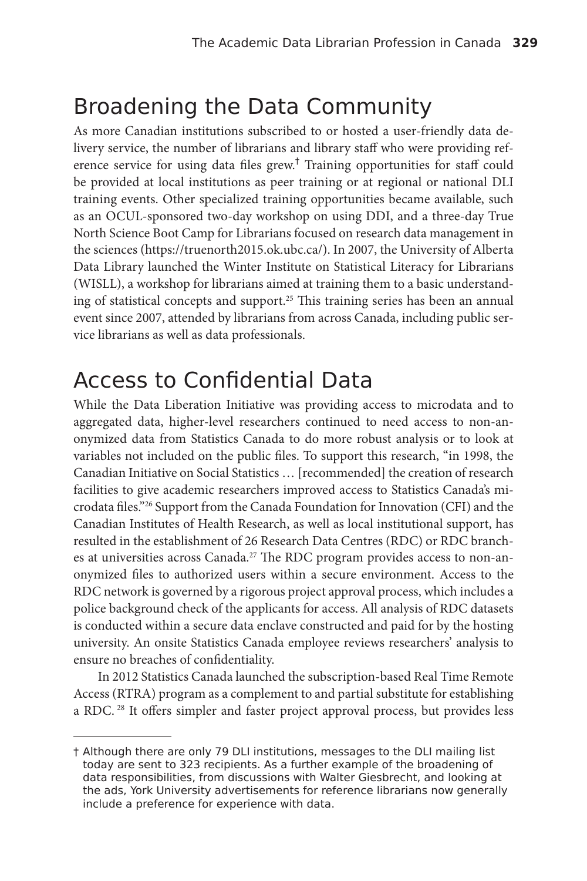#### Broadening the Data Community

As more Canadian institutions subscribed to or hosted a user-friendly data delivery service, the number of librarians and library staff who were providing reference service for using data files grew.† Training opportunities for staff could be provided at local institutions as peer training or at regional or national DLI training events. Other specialized training opportunities became available, such as an OCUL-sponsored two-day workshop on using DDI, and a three-day True North Science Boot Camp for Librarians focused on research data management in the sciences (https://truenorth2015.ok.ubc.ca/). In 2007, the University of Alberta Data Library launched the Winter Institute on Statistical Literacy for Librarians (WISLL), a workshop for librarians aimed at training them to a basic understanding of statistical concepts and support.<sup>25</sup> This training series has been an annual event since 2007, attended by librarians from across Canada, including public service librarians as well as data professionals.

#### Access to Confidential Data

While the Data Liberation Initiative was providing access to microdata and to aggregated data, higher-level researchers continued to need access to non-anonymized data from Statistics Canada to do more robust analysis or to look at variables not included on the public files. To support this research, "in 1998, the Canadian Initiative on Social Statistics … [recommended] the creation of research facilities to give academic researchers improved access to Statistics Canada's microdata files."26 Support from the Canada Foundation for Innovation (CFI) and the Canadian Institutes of Health Research, as well as local institutional support, has resulted in the establishment of 26 Research Data Centres (RDC) or RDC branches at universities across Canada.<sup>27</sup> The RDC program provides access to non-anonymized files to authorized users within a secure environment. Access to the RDC network is governed by a rigorous project approval process, which includes a police background check of the applicants for access. All analysis of RDC datasets is conducted within a secure data enclave constructed and paid for by the hosting university. An onsite Statistics Canada employee reviews researchers' analysis to ensure no breaches of confidentiality.

In 2012 Statistics Canada launched the subscription-based Real Time Remote Access (RTRA) program as a complement to and partial substitute for establishing a RDC.<sup>28</sup> It offers simpler and faster project approval process, but provides less

<sup>†</sup> Although there are only 79 DLI institutions, messages to the DLI mailing list today are sent to 323 recipients. As a further example of the broadening of data responsibilities, from discussions with Walter Giesbrecht, and looking at the ads, York University advertisements for reference librarians now generally include a preference for experience with data.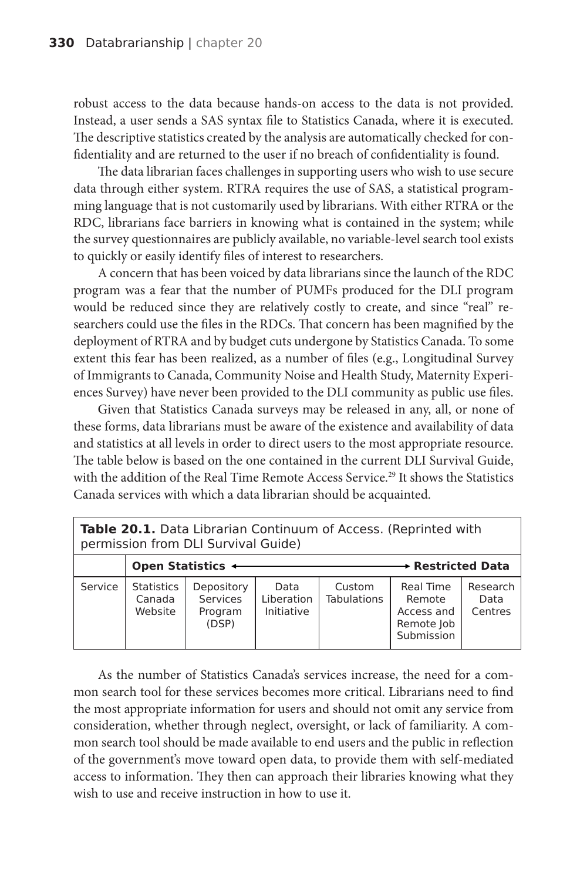robust access to the data because hands-on access to the data is not provided. Instead, a user sends a SAS syntax file to Statistics Canada, where it is executed. The descriptive statistics created by the analysis are automatically checked for confidentiality and are returned to the user if no breach of confidentiality is found.

The data librarian faces challenges in supporting users who wish to use secure data through either system. RTRA requires the use of SAS, a statistical programming language that is not customarily used by librarians. With either RTRA or the RDC, librarians face barriers in knowing what is contained in the system; while the survey questionnaires are publicly available, no variable-level search tool exists to quickly or easily identify files of interest to researchers.

A concern that has been voiced by data librarians since the launch of the RDC program was a fear that the number of PUMFs produced for the DLI program would be reduced since they are relatively costly to create, and since "real" researchers could use the files in the RDCs. That concern has been magnified by the deployment of RTRA and by budget cuts undergone by Statistics Canada. To some extent this fear has been realized, as a number of files (e.g., Longitudinal Survey of Immigrants to Canada, Community Noise and Health Study, Maternity Experiences Survey) have never been provided to the DLI community as public use files.

Given that Statistics Canada surveys may be released in any, all, or none of these forms, data librarians must be aware of the existence and availability of data and statistics at all levels in order to direct users to the most appropriate resource. The table below is based on the one contained in the current DLI Survival Guide, with the addition of the Real Time Remote Access Service.<sup>29</sup> It shows the Statistics Canada services with which a data librarian should be acquainted.

| Table 20.1. Data Librarian Continuum of Access. (Reprinted with<br>permission from DLI Survival Guide) |                                                    |                                            |                                  |                              |                                                               |                             |
|--------------------------------------------------------------------------------------------------------|----------------------------------------------------|--------------------------------------------|----------------------------------|------------------------------|---------------------------------------------------------------|-----------------------------|
|                                                                                                        | $\rightarrow$ Restricted Data<br>Open Statistics + |                                            |                                  |                              |                                                               |                             |
| Service                                                                                                | <b>Statistics</b><br>Canada<br>Website             | Depository<br>Services<br>Program<br>(DSP) | Data<br>Liberation<br>Initiative | Custom<br><b>Tabulations</b> | Real Time<br>Remote<br>Access and<br>Remote Job<br>Submission | Research<br>Data<br>Centres |

As the number of Statistics Canada's services increase, the need for a common search tool for these services becomes more critical. Librarians need to find the most appropriate information for users and should not omit any service from consideration, whether through neglect, oversight, or lack of familiarity. A common search tool should be made available to end users and the public in reflection of the government's move toward open data, to provide them with self-mediated access to information. They then can approach their libraries knowing what they wish to use and receive instruction in how to use it.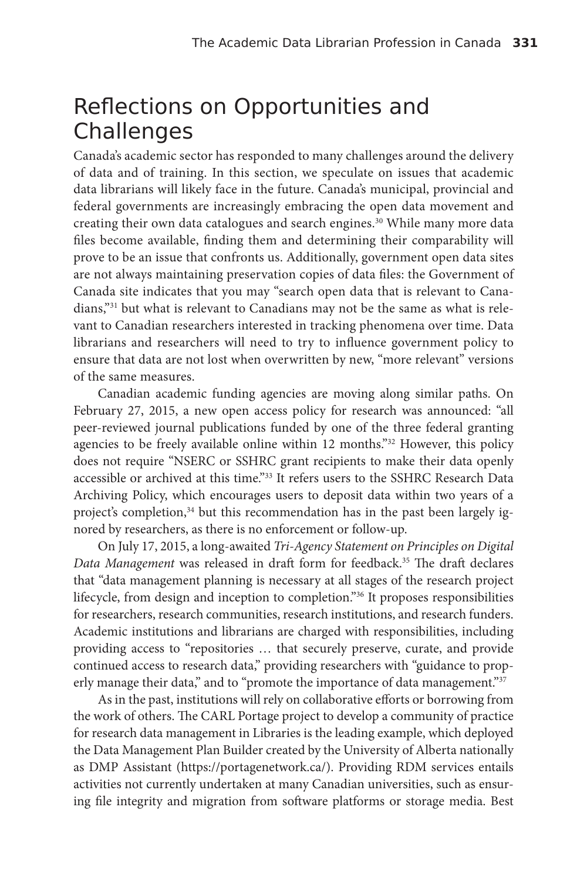#### Reflections on Opportunities and Challenges

Canada's academic sector has responded to many challenges around the delivery of data and of training. In this section, we speculate on issues that academic data librarians will likely face in the future. Canada's municipal, provincial and federal governments are increasingly embracing the open data movement and creating their own data catalogues and search engines.<sup>30</sup> While many more data files become available, finding them and determining their comparability will prove to be an issue that confronts us. Additionally, government open data sites are not always maintaining preservation copies of data files: the Government of Canada site indicates that you may "search open data that is relevant to Canadians,"31 but what is relevant to Canadians may not be the same as what is relevant to Canadian researchers interested in tracking phenomena over time. Data librarians and researchers will need to try to influence government policy to ensure that data are not lost when overwritten by new, "more relevant" versions of the same measures.

Canadian academic funding agencies are moving along similar paths. On February 27, 2015, a new open access policy for research was announced: "all peer-reviewed journal publications funded by one of the three federal granting agencies to be freely available online within 12 months."<sup>32</sup> However, this policy does not require "NSERC or SSHRC grant recipients to make their data openly accessible or archived at this time."<sup>33</sup> It refers users to the SSHRC Research Data Archiving Policy, which encourages users to deposit data within two years of a project's completion,<sup>34</sup> but this recommendation has in the past been largely ignored by researchers, as there is no enforcement or follow-up.

On July 17, 2015, a long-awaited *Tri-Agency Statement on Principles on Digital Data Management* was released in draft form for feedback.35 The draft declares that "data management planning is necessary at all stages of the research project lifecycle, from design and inception to completion."36 It proposes responsibilities for researchers, research communities, research institutions, and research funders. Academic institutions and librarians are charged with responsibilities, including providing access to "repositories … that securely preserve, curate, and provide continued access to research data," providing researchers with "guidance to properly manage their data," and to "promote the importance of data management."<sup>37</sup>

As in the past, institutions will rely on collaborative efforts or borrowing from the work of others. The CARL Portage project to develop a community of practice for research data management in Libraries is the leading example, which deployed the Data Management Plan Builder created by the University of Alberta nationally as DMP Assistant (https://portagenetwork.ca/). Providing RDM services entails activities not currently undertaken at many Canadian universities, such as ensuring file integrity and migration from software platforms or storage media. Best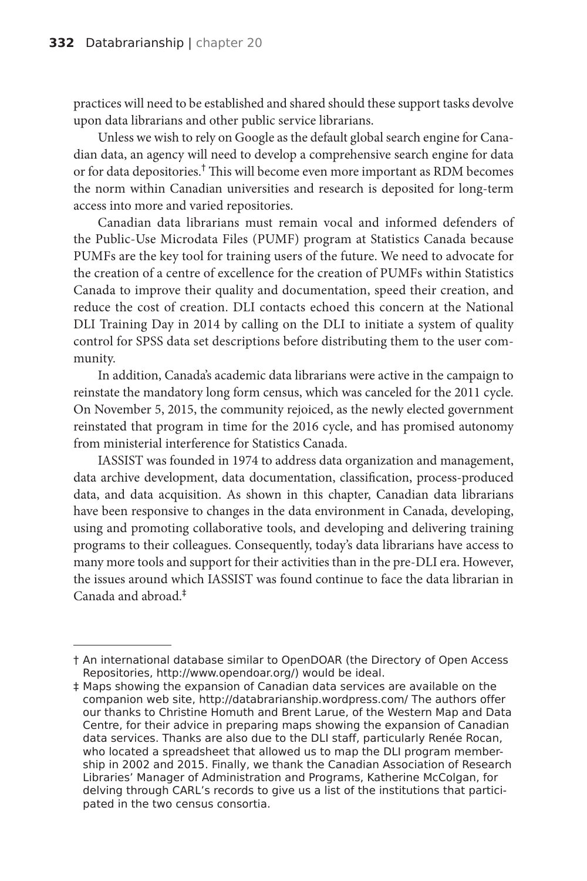practices will need to be established and shared should these support tasks devolve upon data librarians and other public service librarians.

Unless we wish to rely on Google as the default global search engine for Canadian data, an agency will need to develop a comprehensive search engine for data or for data depositories.† This will become even more important as RDM becomes the norm within Canadian universities and research is deposited for long-term access into more and varied repositories.

Canadian data librarians must remain vocal and informed defenders of the Public-Use Microdata Files (PUMF) program at Statistics Canada because PUMFs are the key tool for training users of the future. We need to advocate for the creation of a centre of excellence for the creation of PUMFs within Statistics Canada to improve their quality and documentation, speed their creation, and reduce the cost of creation. DLI contacts echoed this concern at the National DLI Training Day in 2014 by calling on the DLI to initiate a system of quality control for SPSS data set descriptions before distributing them to the user community.

In addition, Canada's academic data librarians were active in the campaign to reinstate the mandatory long form census, which was canceled for the 2011 cycle. On November 5, 2015, the community rejoiced, as the newly elected government reinstated that program in time for the 2016 cycle, and has promised autonomy from ministerial interference for Statistics Canada.

IASSIST was founded in 1974 to address data organization and management, data archive development, data documentation, classification, process-produced data, and data acquisition. As shown in this chapter, Canadian data librarians have been responsive to changes in the data environment in Canada, developing, using and promoting collaborative tools, and developing and delivering training programs to their colleagues. Consequently, today's data librarians have access to many more tools and support for their activities than in the pre-DLI era. However, the issues around which IASSIST was found continue to face the data librarian in Canada and abroad.‡

<sup>†</sup> An international database similar to OpenDOAR (the Directory of Open Access Repositories, http://www.opendoar.org/) would be ideal.

<sup>‡</sup> Maps showing the expansion of Canadian data services are available on the companion web site, http://databrarianship.wordpress.com/ The authors offer our thanks to Christine Homuth and Brent Larue, of the Western Map and Data Centre, for their advice in preparing maps showing the expansion of Canadian data services. Thanks are also due to the DLI staff, particularly Renée Rocan, who located a spreadsheet that allowed us to map the DLI program membership in 2002 and 2015. Finally, we thank the Canadian Association of Research Libraries' Manager of Administration and Programs, Katherine McColgan, for delving through CARL's records to give us a list of the institutions that participated in the two census consortia.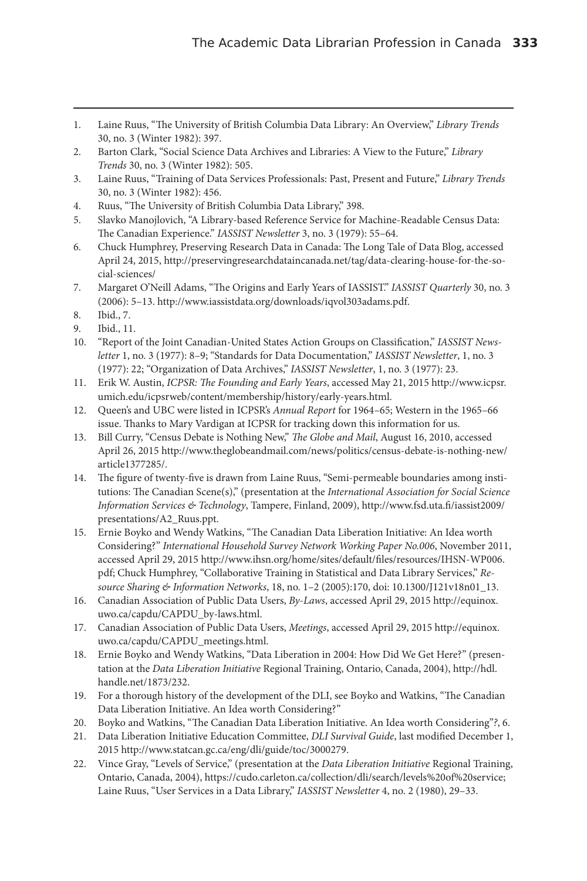- 1. Laine Ruus, "The University of British Columbia Data Library: An Overview," *Library Trends* 30, no. 3 (Winter 1982): 397.
- 2. Barton Clark, "Social Science Data Archives and Libraries: A View to the Future," *Library Trends* 30, no. 3 (Winter 1982): 505.
- 3. Laine Ruus, "Training of Data Services Professionals: Past, Present and Future," *Library Trends* 30, no. 3 (Winter 1982): 456.
- 4. Ruus, "The University of British Columbia Data Library," 398.
- 5. Slavko Manojlovich, "A Library-based Reference Service for Machine-Readable Census Data: The Canadian Experience." *IASSIST Newsletter* 3, no. 3 (1979): 55–64.
- 6. Chuck Humphrey, Preserving Research Data in Canada: The Long Tale of Data Blog, accessed April 24, 2015, http://preservingresearchdataincanada.net/tag/data-clearing-house-for-the-social-sciences/
- 7. Margaret O'Neill Adams, "The Origins and Early Years of IASSIST." *IASSIST Quarterly* 30, no. 3 (2006): 5–13. http://www.iassistdata.org/downloads/iqvol303adams.pdf.
- 8. Ibid., 7.
- 9. Ibid., 11.
- 10. "Report of the Joint Canadian-United States Action Groups on Classification," *IASSIST Newsletter* 1, no. 3 (1977): 8–9; "Standards for Data Documentation," *IASSIST Newsletter*, 1, no. 3 (1977): 22; "Organization of Data Archives," *IASSIST Newsletter*, 1, no. 3 (1977): 23.
- 11. Erik W. Austin, *ICPSR: The Founding and Early Years*, accessed May 21, 2015 http://www.icpsr. umich.edu/icpsrweb/content/membership/history/early-years.html.
- 12. Queen's and UBC were listed in ICPSR's *Annual Report* for 1964–65; Western in the 1965–66 issue. Thanks to Mary Vardigan at ICPSR for tracking down this information for us.
- 13. Bill Curry, "Census Debate is Nothing New," *The Globe and Mail*, August 16, 2010, accessed April 26, 2015 http://www.theglobeandmail.com/news/politics/census-debate-is-nothing-new/ article1377285/.
- 14. The figure of twenty-five is drawn from Laine Ruus, "Semi-permeable boundaries among institutions: The Canadian Scene(s)," (presentation at the *International Association for Social Science Information Services & Technology*, Tampere, Finland, 2009), http://www.fsd.uta.fi/iassist2009/ presentations/A2\_Ruus.ppt.
- 15. Ernie Boyko and Wendy Watkins, "The Canadian Data Liberation Initiative: An Idea worth Considering?" *International Household Survey Network Working Paper No.006*, November 2011, accessed April 29, 2015 http://www.ihsn.org/home/sites/default/files/resources/IHSN-WP006. pdf; Chuck Humphrey, "Collaborative Training in Statistical and Data Library Services," *Resource Sharing & Information Networks*, 18, no. 1–2 (2005):170, doi: 10.1300/J121v18n01\_13.
- 16. Canadian Association of Public Data Users, *By-Laws*, accessed April 29, 2015 http://equinox. uwo.ca/capdu/CAPDU\_by-laws.html.
- 17. Canadian Association of Public Data Users, *Meetings*, accessed April 29, 2015 http://equinox. uwo.ca/capdu/CAPDU\_meetings.html.
- 18. Ernie Boyko and Wendy Watkins, "Data Liberation in 2004: How Did We Get Here?" (presentation at the *Data Liberation Initiative* Regional Training, Ontario, Canada, 2004), http://hdl. handle.net/1873/232.
- 19. For a thorough history of the development of the DLI, see Boyko and Watkins, "The Canadian Data Liberation Initiative. An Idea worth Considering?"
- 20. Boyko and Watkins, "The Canadian Data Liberation Initiative. An Idea worth Considering"*?*, 6.
- 21. Data Liberation Initiative Education Committee, *DLI Survival Guide*, last modified December 1, 2015 http://www.statcan.gc.ca/eng/dli/guide/toc/3000279.
- 22. Vince Gray, "Levels of Service," (presentation at the *Data Liberation Initiative* Regional Training, Ontario, Canada, 2004), https://cudo.carleton.ca/collection/dli/search/levels%20of%20service; Laine Ruus, "User Services in a Data Library," *IASSIST Newsletter* 4, no. 2 (1980), 29–33.